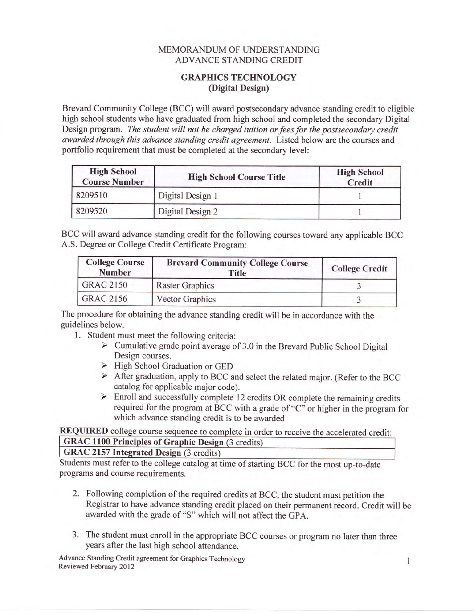## MEMORANDUM OF UNDERSTANDING ADVANCE STANDING CREDIT

## **GRAPHICS TECHNOLOGY** (Digital Design)

Brevard Community College (BCC) will award postsecondary advance standing credit to eligible high school students who have graduated from high school and completed the secondary Digital Design program. The student will not be charged tuition or fees for the postsecondary credit awarded through this advance standing credit agreement. Listed below are the courses and portfolio requirement that must be completed at the secondary level:

| <b>High School</b><br><b>Course Number</b> | <b>High School Course Title</b> | <b>High School</b><br>Credit |
|--------------------------------------------|---------------------------------|------------------------------|
| 8209510                                    | Digital Design 1                |                              |
| 8209520                                    | Digital Design 2                |                              |

BCC will award advance standing credit for the following courses toward any applicable BCC A.S. Degree or College Credit Certificate Program:

| <b>College Course</b><br><b>Number</b> | <b>Brevard Community College Course</b><br>Title | <b>College Credit</b> |
|----------------------------------------|--------------------------------------------------|-----------------------|
| GRAC 2150                              | <b>Raster Graphics</b>                           |                       |
| GRAC 2156                              | <b>Vector Graphics</b>                           |                       |

The procedure for obtaining the advance standing credit will be in accordance with the guidelines below.

- 
- 1. Student must meet the following criteria:<br>  $\triangleright$  Cumulative grade point average of 3.0 in the Brevard Public School Digital Design courses.
	- $\triangleright$  High School Graduation or GED
	- $\triangleright$  After graduation, apply to BCC and select the related major. (Refer to the BCC
	- catalog for applicable major code).<br>  $\triangleright$  Enroll and successfully complete 12 credits OR complete the remaining credits required for the program at BCC with a grade of "C" or higher in the program for which advance standing credit is to be awarded

REQUIRED college course sequence to complete in order to receive the accelerated credit: GRAC 1100 Principles of Graphic Design (3 credits)

## GRAC 2157 Integrated Design (3 credits)

Students must refer to the college catalog at time of starting BCC for the most up-to-date programs and course requirements.

- 2. Following completion of the required credits at BCC, the student must petition the Registrar to have advance standing credit placed on their permanent record. Credit will be awarded with the grade of "S" which will not affect the GpA.
- 3. The student must enroll in the appropriate BCC courses or program no later than three years after the last high school attendance.

Advance Standing Credit agreement for Graphics Technology 1 Reviewed February 2012